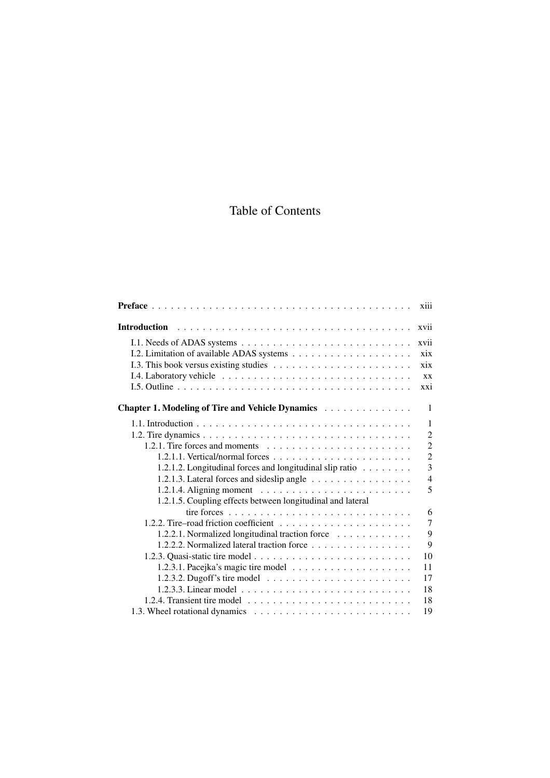## Table of Contents

|                                                                                   | xiii           |
|-----------------------------------------------------------------------------------|----------------|
| <b>Introduction</b>                                                               | xvii           |
|                                                                                   | xvii           |
|                                                                                   | xix            |
|                                                                                   | $\overline{x}$ |
|                                                                                   | <b>XX</b>      |
|                                                                                   | xxi            |
| Chapter 1. Modeling of Tire and Vehicle Dynamics                                  | $\mathbf{1}$   |
|                                                                                   | 1              |
|                                                                                   | $\overline{2}$ |
| 1.2.1. Tire forces and moments $\ldots \ldots \ldots \ldots \ldots \ldots \ldots$ | $\overline{2}$ |
|                                                                                   | $\overline{2}$ |
| 1.2.1.2. Longitudinal forces and longitudinal slip ratio                          | 3              |
| 1.2.1.3. Lateral forces and sideslip angle                                        | $\overline{4}$ |
|                                                                                   | 5              |
| 1.2.1.5. Coupling effects between longitudinal and lateral                        |                |
|                                                                                   | 6              |
|                                                                                   | $\overline{7}$ |
| 1.2.2.1. Normalized longitudinal traction force                                   | 9              |
| 1.2.2.2. Normalized lateral traction force                                        | 9              |
|                                                                                   | 10             |
|                                                                                   | 11             |
|                                                                                   | 17             |
|                                                                                   | 18             |
|                                                                                   | 18             |
|                                                                                   | 19             |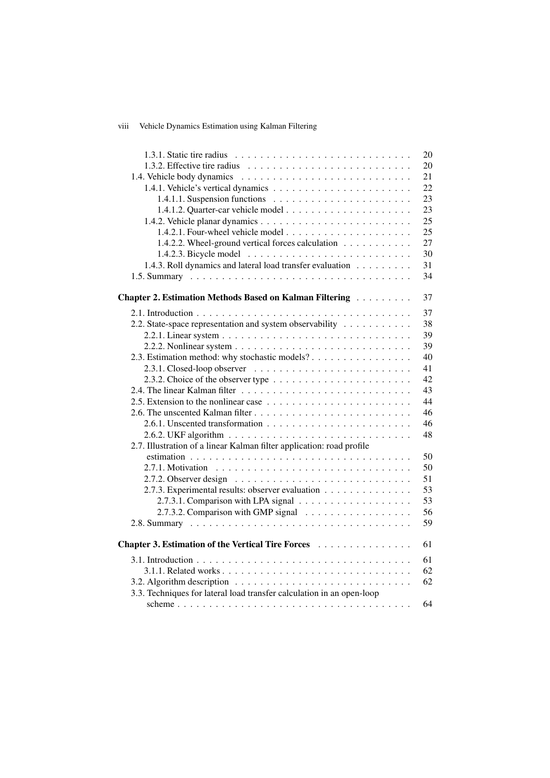## viii Vehicle Dynamics Estimation using Kalman Filtering

|                                                                                             | 20 |
|---------------------------------------------------------------------------------------------|----|
|                                                                                             | 20 |
|                                                                                             | 21 |
|                                                                                             | 22 |
|                                                                                             | 23 |
|                                                                                             | 23 |
|                                                                                             | 25 |
|                                                                                             | 25 |
| 1.4.2.2. Wheel-ground vertical forces calculation                                           | 27 |
|                                                                                             | 30 |
| 1.4.3. Roll dynamics and lateral load transfer evaluation                                   | 31 |
|                                                                                             | 34 |
|                                                                                             |    |
| Chapter 2. Estimation Methods Based on Kalman Filtering                                     | 37 |
|                                                                                             | 37 |
| 2.2. State-space representation and system observability                                    | 38 |
|                                                                                             | 39 |
|                                                                                             | 39 |
| 2.3. Estimation method: why stochastic models?                                              | 40 |
| $2.3.1.$ Closed-loop observer $\dots \dots \dots \dots \dots \dots \dots \dots \dots$       | 41 |
| 2.3.2. Choice of the observer type $\ldots \ldots \ldots \ldots \ldots \ldots \ldots$       | 42 |
|                                                                                             | 43 |
|                                                                                             | 44 |
|                                                                                             | 46 |
|                                                                                             | 46 |
|                                                                                             | 48 |
| 2.7. Illustration of a linear Kalman filter application: road profile                       |    |
|                                                                                             | 50 |
|                                                                                             | 50 |
|                                                                                             | 51 |
| 2.7.3. Experimental results: observer evaluation                                            | 53 |
|                                                                                             | 53 |
| 2.7.3.2. Comparison with GMP signal                                                         | 56 |
|                                                                                             | 59 |
|                                                                                             |    |
| Chapter 3. Estimation of the Vertical Tire Forces                                           | 61 |
|                                                                                             | 61 |
|                                                                                             | 62 |
| 3.2. Algorithm description $\ldots \ldots \ldots \ldots \ldots \ldots \ldots \ldots \ldots$ | 62 |
| 3.3. Techniques for lateral load transfer calculation in an open-loop                       |    |
|                                                                                             | 64 |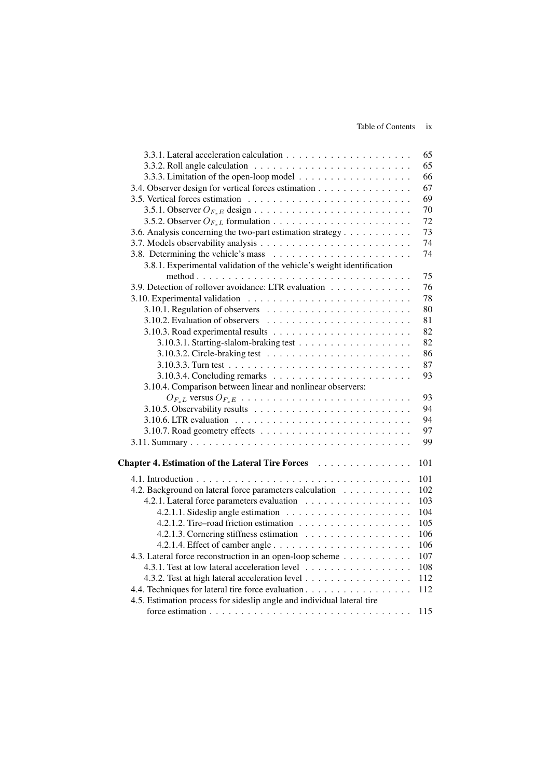|                                                                        | 65  |
|------------------------------------------------------------------------|-----|
|                                                                        | 65  |
|                                                                        | 66  |
| 3.4. Observer design for vertical forces estimation                    | 67  |
|                                                                        | 69  |
|                                                                        | 70  |
|                                                                        | 72  |
| 3.6. Analysis concerning the two-part estimation strategy              | 73  |
|                                                                        | 74  |
|                                                                        | 74  |
| 3.8.1. Experimental validation of the vehicle's weight identification  |     |
|                                                                        | 75  |
| 3.9. Detection of rollover avoidance: LTR evaluation                   | 76  |
|                                                                        | 78  |
|                                                                        | 80  |
|                                                                        | 81  |
|                                                                        | 82  |
|                                                                        | 82  |
|                                                                        | 86  |
|                                                                        | 87  |
|                                                                        | 93  |
| 3.10.4. Comparison between linear and nonlinear observers:             |     |
| $O_{F_zL}$ versus $O_{F_zE}$                                           | 93  |
|                                                                        | 94  |
|                                                                        | 94  |
|                                                                        | 97  |
|                                                                        | 99  |
|                                                                        |     |
| Chapter 4. Estimation of the Lateral Tire Forces                       | 101 |
|                                                                        | 101 |
| 4.2. Background on lateral force parameters calculation                | 102 |
|                                                                        | 103 |
|                                                                        | 104 |
|                                                                        | 105 |
|                                                                        | 106 |
|                                                                        | 106 |
| 4.3. Lateral force reconstruction in an open-loop scheme               | 107 |
| 4.3.1. Test at low lateral acceleration level                          | 108 |
| 4.3.2. Test at high lateral acceleration level                         | 112 |
| 4.4. Techniques for lateral tire force evaluation                      | 112 |
| 4.5. Estimation process for sideslip angle and individual lateral tire |     |
|                                                                        | 115 |
|                                                                        |     |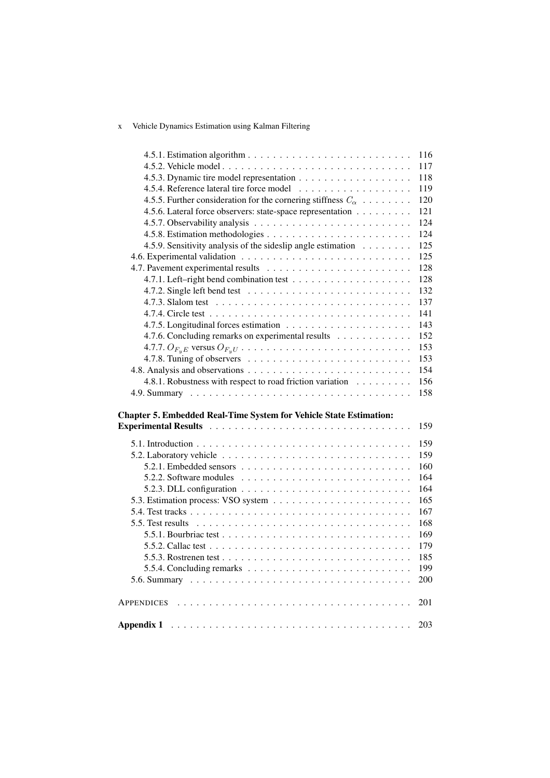## x Vehicle Dynamics Estimation using Kalman Filtering

| 116<br>117<br>118<br>119<br>4.5.5. Further consideration for the cornering stiffness $C_{\alpha}$<br>120<br>4.5.6. Lateral force observers: state-space representation<br>121<br>124<br>124<br>4.5.9. Sensitivity analysis of the sideslip angle estimation<br>125<br>125<br>128<br>128<br>132<br>137<br>141<br>143<br>4.7.6. Concluding remarks on experimental results<br>152<br>153<br>153<br>154<br>4.8.1. Robustness with respect to road friction variation<br>156<br>158<br>159<br>159<br>159<br>160<br>164<br>164<br>165<br>167<br>168<br>169<br>179<br>185<br>5.5.4. Concluding remarks $\ldots \ldots \ldots \ldots \ldots \ldots \ldots \ldots \ldots \ldots$<br>199<br>200<br>201<br>203 |  |
|------------------------------------------------------------------------------------------------------------------------------------------------------------------------------------------------------------------------------------------------------------------------------------------------------------------------------------------------------------------------------------------------------------------------------------------------------------------------------------------------------------------------------------------------------------------------------------------------------------------------------------------------------------------------------------------------------|--|
| <b>Chapter 5. Embedded Real-Time System for Vehicle State Estimation:</b><br>Experimental Results (and a subset of the set of the set of the set of the set of the set of the set of the set of the set of the set of the set of the set of the set of the set of the set of the set of the set of the set<br><b>APPENDICES</b>                                                                                                                                                                                                                                                                                                                                                                      |  |
|                                                                                                                                                                                                                                                                                                                                                                                                                                                                                                                                                                                                                                                                                                      |  |
|                                                                                                                                                                                                                                                                                                                                                                                                                                                                                                                                                                                                                                                                                                      |  |
|                                                                                                                                                                                                                                                                                                                                                                                                                                                                                                                                                                                                                                                                                                      |  |